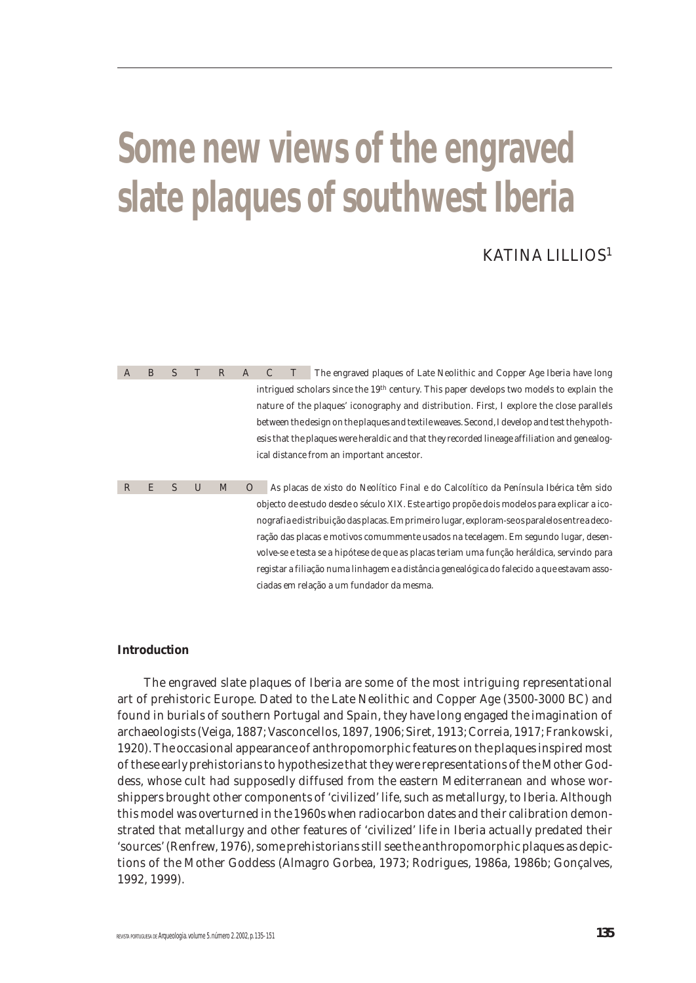# **Some new views of the engraved slate plaques of southwest Iberia**

## KATINA LILLIOS1

| A | B | S |                | R | $\mathsf{A}$ | C | The engraved plaques of Late Neolithic and Copper Age Iberia have long                               |
|---|---|---|----------------|---|--------------|---|------------------------------------------------------------------------------------------------------|
|   |   |   |                |   |              |   | intrigued scholars since the 19 <sup>th</sup> century. This paper develops two models to explain the |
|   |   |   |                |   |              |   | nature of the plaques' iconography and distribution. First, I explore the close parallels            |
|   |   |   |                |   |              |   | between the design on the plagues and textile weaves. Second, I develop and test the hypoth-         |
|   |   |   |                |   |              |   | esis that the plaques were heraldic and that they recorded lineage affiliation and genealog-         |
|   |   |   |                |   |              |   | ical distance from an important ancestor.                                                            |
|   |   |   |                |   |              |   |                                                                                                      |
| R | E | S | $\overline{U}$ | M | $\Omega$     |   | As placas de xisto do Neolítico Final e do Calcolítico da Península Ibérica têm sido                 |
|   |   |   |                |   |              |   | objecto de estudo desde o século XIX. Este artigo propõe dois modelos para explicar a ico-           |
|   |   |   |                |   |              |   | nografia e distribuição das placas. Em primeiro lugar, exploram-se os paralelos entre a deco-        |
|   |   |   |                |   |              |   | ração das placas e motivos comummente usados na tecelagem. Em segundo lugar, desen-                  |
|   |   |   |                |   |              |   | volve-se e testa se a hipótese de que as placas teriam uma função heráldica, servindo para           |
|   |   |   |                |   |              |   | registar a filiação numa linhagem e a distância genealógica do falecido a que estavam asso-          |

ciadas em relação a um fundador da mesma.

#### **Introduction**

The engraved slate plaques of Iberia are some of the most intriguing representational art of prehistoric Europe. Dated to the Late Neolithic and Copper Age (3500-3000 BC) and found in burials of southern Portugal and Spain, they have long engaged the imagination of archaeologists (Veiga, 1887; Vasconcellos, 1897, 1906; Siret, 1913; Correia, 1917; Frankowski, 1920). The occasional appearance of anthropomorphic features on the plaques inspired most of these early prehistorians to hypothesize that they were representations of the Mother Goddess, whose cult had supposedly diffused from the eastern Mediterranean and whose worshippers brought other components of 'civilized' life, such as metallurgy, to Iberia. Although this model was overturned in the 1960s when radiocarbon dates and their calibration demonstrated that metallurgy and other features of 'civilized' life in Iberia actually predated their 'sources' (Renfrew, 1976), some prehistorians still see the anthropomorphic plaques as depictions of the Mother Goddess (Almagro Gorbea, 1973; Rodrigues, 1986a, 1986b; Gonçalves, 1992, 1999).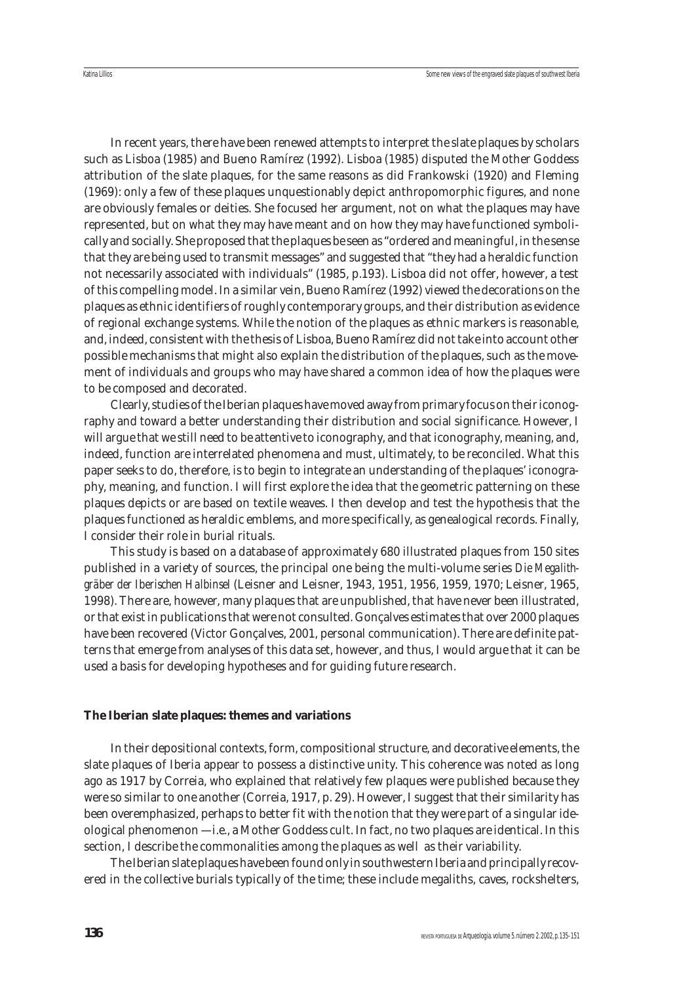In recent years, there have been renewed attempts to interpret the slate plaques by scholars such as Lisboa (1985) and Bueno Ramírez (1992). Lisboa (1985) disputed the Mother Goddess attribution of the slate plaques, for the same reasons as did Frankowski (1920) and Fleming (1969): only a few of these plaques unquestionably depict anthropomorphic figures, and none are obviously females or deities. She focused her argument, not on what the plaques may have represented, but on what they may have meant and on how they may have functioned symbolically and socially. She proposed that the plaques be seen as "ordered and meaningful, in the sense that they are being used to transmit messages" and suggested that "they had a heraldic function not necessarily associated with individuals" (1985, p.193). Lisboa did not offer, however, a test of this compelling model. In a similar vein, Bueno Ramírez (1992) viewed the decorations on the plaques as ethnic identifiers of roughly contemporary groups, and their distribution as evidence of regional exchange systems. While the notion of the plaques as ethnic markers is reasonable, and, indeed, consistent with the thesis of Lisboa, Bueno Ramírez did not take into account other possible mechanisms that might also explain the distribution of the plaques, such as the movement of individuals and groups who may have shared a common idea of how the plaques were to be composed and decorated.

Clearly, studies of the Iberian plaques have moved away from primary focus on their iconography and toward a better understanding their distribution and social significance. However, I will argue that we still need to be attentive to iconography, and that iconography, meaning, and, indeed, function are interrelated phenomena and must, ultimately, to be reconciled. What this paper seeks to do, therefore, is to begin to integrate an understanding of the plaques' iconography, meaning, and function. I will first explore the idea that the geometric patterning on these plaques depicts or are based on textile weaves. I then develop and test the hypothesis that the plaques functioned as heraldic emblems, and more specifically, as genealogical records. Finally, I consider their role in burial rituals.

This study is based on a database of approximately 680 illustrated plaques from 150 sites published in a variety of sources, the principal one being the multi-volume series *Die Megalithgräber der Iberischen Halbinsel* (Leisner and Leisner, 1943, 1951, 1956, 1959, 1970; Leisner, 1965, 1998). There are, however, many plaques that are unpublished, that have never been illustrated, or that exist in publications that were not consulted. Gonçalves estimates that over 2000 plaques have been recovered (Victor Gonçalves, 2001, personal communication). There are definite patterns that emerge from analyses of this data set, however, and thus, I would argue that it can be used a basis for developing hypotheses and for guiding future research.

#### **The Iberian slate plaques: themes and variations**

In their depositional contexts, form, compositional structure, and decorative elements, the slate plaques of Iberia appear to possess a distinctive unity. This coherence was noted as long ago as 1917 by Correia, who explained that relatively few plaques were published because they were so similar to one another (Correia, 1917, p. 29). However, I suggest that their similarity has been overemphasized, perhaps to better fit with the notion that they were part of a singular ideological phenomenon — i.e., a Mother Goddess cult. In fact, no two plaques are identical. In this section, I describe the commonalities among the plaques as well as their variability.

The Iberian slate plaques have been found only in southwestern Iberia and principally recovered in the collective burials typically of the time; these include megaliths, caves, rockshelters,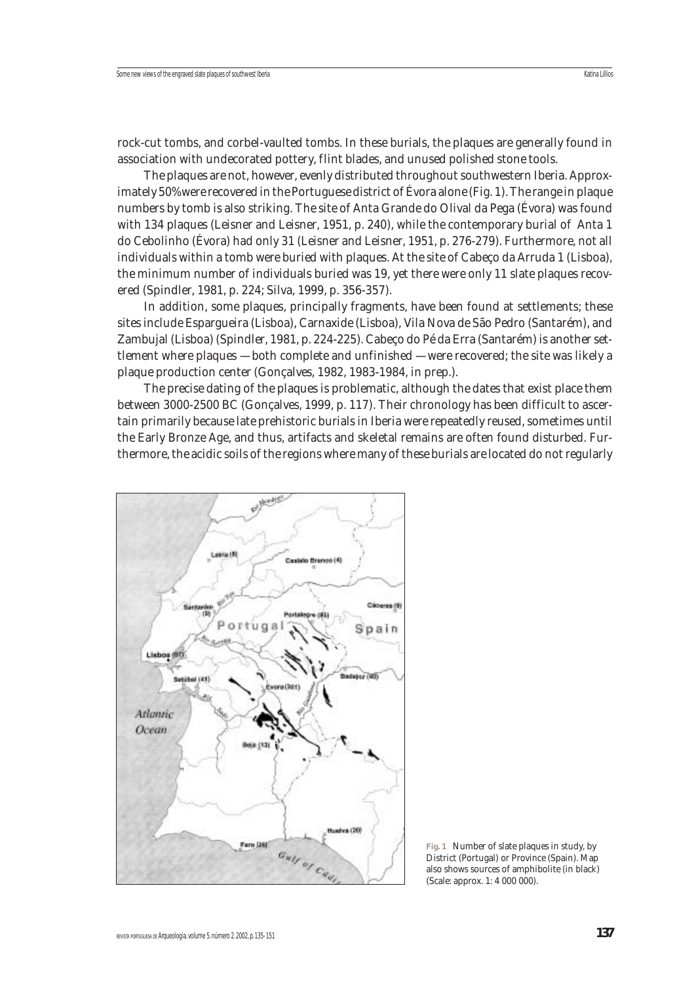rock-cut tombs, and corbel-vaulted tombs. In these burials, the plaques are generally found in association with undecorated pottery, flint blades, and unused polished stone tools.

The plaques are not, however, evenly distributed throughout southwestern Iberia. Approximately 50% were recovered in the Portuguese district of Évora alone (Fig. 1). The range in plaque numbers by tomb is also striking. The site of Anta Grande do Olival da Pega (Évora) was found with 134 plaques (Leisner and Leisner, 1951, p. 240), while the contemporary burial of Anta 1 do Cebolinho (Évora) had only 31 (Leisner and Leisner, 1951, p. 276-279). Furthermore, not all individuals within a tomb were buried with plaques. At the site of Cabeço da Arruda 1 (Lisboa), the minimum number of individuals buried was 19, yet there were only 11 slate plaques recovered (Spindler, 1981, p. 224; Silva, 1999, p. 356-357).

In addition, some plaques, principally fragments, have been found at settlements; these sites include Espargueira (Lisboa), Carnaxide (Lisboa), Vila Nova de São Pedro (Santarém), and Zambujal (Lisboa) (Spindler, 1981, p. 224-225). Cabeço do Pé da Erra (Santarém) is another settlement where plaques — both complete and unfinished — were recovered; the site was likely a plaque production center (Gonçalves, 1982, 1983-1984, in prep.).

The precise dating of the plaques is problematic, although the dates that exist place them between 3000-2500 BC (Gonçalves, 1999, p. 117). Their chronology has been difficult to ascertain primarily because late prehistoric burials in Iberia were repeatedly reused, sometimes until the Early Bronze Age, and thus, artifacts and skeletal remains are often found disturbed. Furthermore, the acidic soils of the regions where many of these burials are located do not regularly



**Fig. 1** Number of slate plaques in study, by District (Portugal) or Province (Spain). Map also shows sources of amphibolite (in black) (Scale: approx. 1: 4 000 000).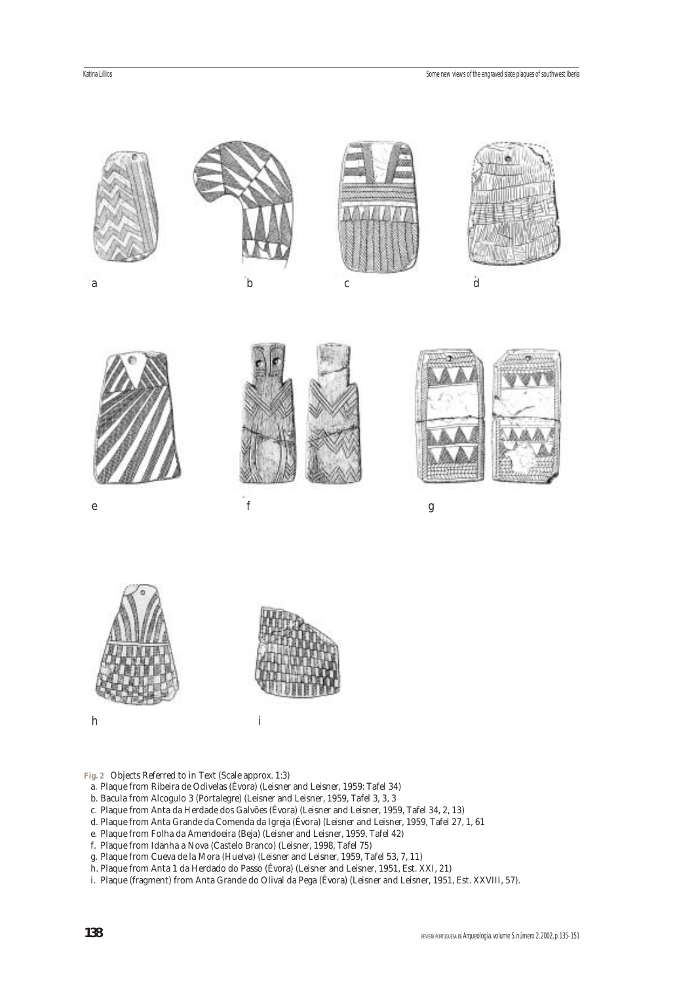

**Fig. 2** Objects Referred to in Text (Scale approx. 1:3)

- a. Plaque from Ribeira de Odivelas (Évora) (Leisner and Leisner, 1959: Tafel 34)
- b. Bacula from Alcogulo 3 (Portalegre) (Leisner and Leisner, 1959, Tafel 3, 3, 3
- c. Plaque from Anta da Herdade dos Galvões (Évora) (Leisner and Leisner, 1959, Tafel 34, 2, 13)
- d. Plaque from Anta Grande da Comenda da Igreja (Évora) (Leisner and Leisner, 1959, Tafel 27, 1, 61
- e. Plaque from Folha da Amendoeira (Beja) (Leisner and Leisner, 1959, Tafel 42)
- f. Plaque from Idanha a Nova (Castelo Branco) (Leisner, 1998, Tafel 75)
- g. Plaque from Cueva de la Mora (Huelva) (Leisner and Leisner, 1959, Tafel 53, 7, 11)
- h. Plaque from Anta 1 da Herdado do Passo (Évora) (Leisner and Leisner, 1951, Est. XXI, 21)
- i. Plaque (fragment) from Anta Grande do Olival da Pega (Évora) (Leisner and Leisner, 1951, Est. XXVIII, 57).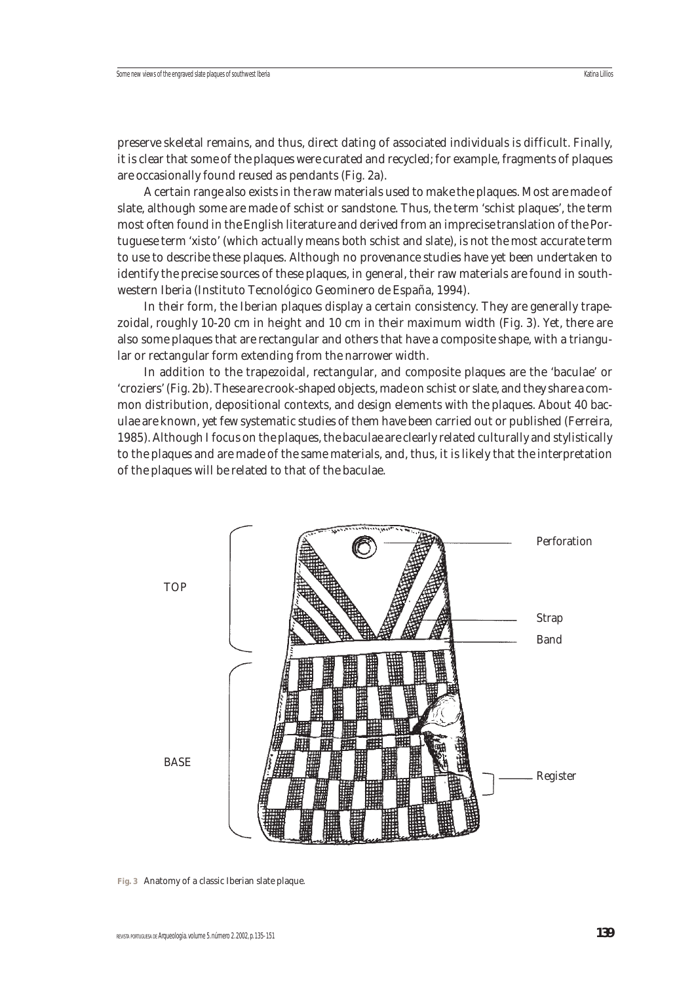preserve skeletal remains, and thus, direct dating of associated individuals is difficult. Finally, it is clear that some of the plaques were curated and recycled; for example, fragments of plaques are occasionally found reused as pendants (Fig. 2a).

A certain range also exists in the raw materials used to make the plaques. Most are made of slate, although some are made of schist or sandstone. Thus, the term 'schist plaques', the term most often found in the English literature and derived from an imprecise translation of the Portuguese term 'xisto' (which actually means both schist and slate), is not the most accurate term to use to describe these plaques. Although no provenance studies have yet been undertaken to identify the precise sources of these plaques, in general, their raw materials are found in southwestern Iberia (Instituto Tecnológico Geominero de España, 1994).

In their form, the Iberian plaques display a certain consistency. They are generally trapezoidal, roughly 10-20 cm in height and 10 cm in their maximum width (Fig. 3). Yet, there are also some plaques that are rectangular and others that have a composite shape, with a triangular or rectangular form extending from the narrower width.

In addition to the trapezoidal, rectangular, and composite plaques are the 'baculae' or 'croziers' (Fig. 2b). These are crook-shaped objects, made on schist or slate, and they share a common distribution, depositional contexts, and design elements with the plaques. About 40 baculae are known, yet few systematic studies of them have been carried out or published (Ferreira, 1985). Although I focus on the plaques, the baculae are clearly related culturally and stylistically to the plaques and are made of the same materials, and, thus, it is likely that the interpretation of the plaques will be related to that of the baculae.



**Fig. 3** Anatomy of a classic Iberian slate plaque.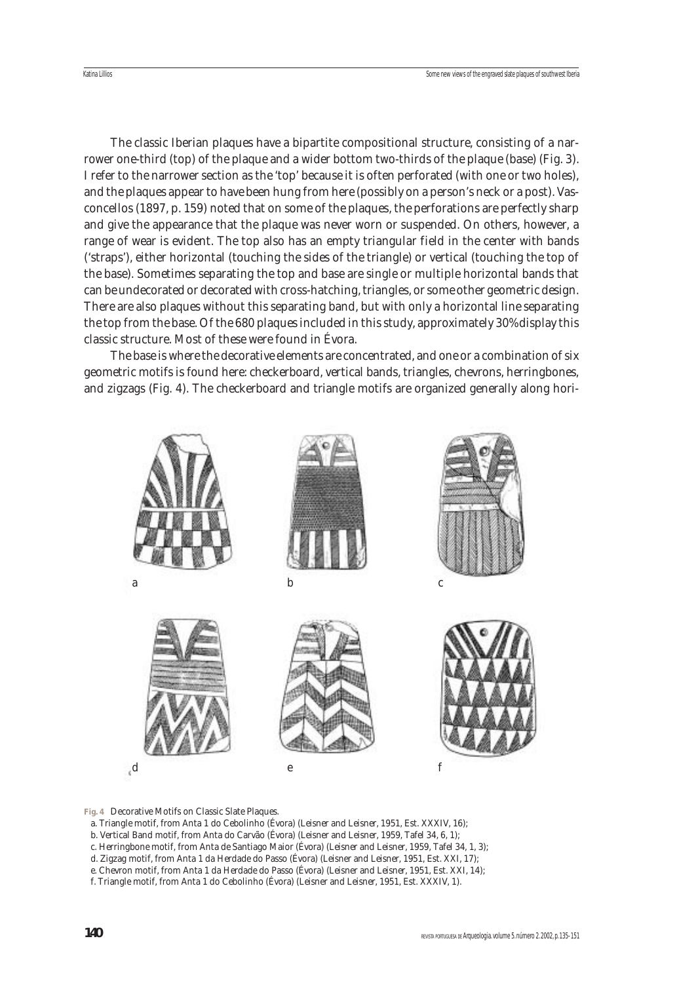Katina Lillios

The classic Iberian plaques have a bipartite compositional structure, consisting of a narrower one-third (top) of the plaque and a wider bottom two-thirds of the plaque (base) (Fig. 3). I refer to the narrower section as the 'top' because it is often perforated (with one or two holes), and the plaques appear to have been hung from here (possibly on a person's neck or a post). Vasconcellos (1897, p. 159) noted that on some of the plaques, the perforations are perfectly sharp and give the appearance that the plaque was never worn or suspended. On others, however, a range of wear is evident. The top also has an empty triangular field in the center with bands ('straps'), either horizontal (touching the sides of the triangle) or vertical (touching the top of the base). Sometimes separating the top and base are single or multiple horizontal bands that can be undecorated or decorated with cross-hatching, triangles, or some other geometric design. There are also plaques without this separating band, but with only a horizontal line separating the top from the base. Of the 680 plaques included in this study, approximately 30% display this classic structure. Most of these were found in Évora.

The base is where the decorative elements are concentrated, and one or a combination of six geometric motifs is found here: checkerboard, vertical bands, triangles, chevrons, herringbones, and zigzags (Fig. 4). The checkerboard and triangle motifs are organized generally along hori-



**Fig. 4** Decorative Motifs on Classic Slate Plaques.

- a. Triangle motif, from Anta 1 do Cebolinho (Évora) (Leisner and Leisner, 1951, Est. XXXIV, 16);
- b. Vertical Band motif, from Anta do Carvão (Évora) (Leisner and Leisner, 1959, Tafel 34, 6, 1);
- c. Herringbone motif, from Anta de Santiago Maior (Évora) (Leisner and Leisner, 1959, Tafel 34, 1, 3);
- d. Zigzag motif, from Anta 1 da Herdade do Passo (Évora) (Leisner and Leisner, 1951, Est. XXI, 17);
- e. Chevron motif, from Anta 1 da Herdade do Passo (Évora) (Leisner and Leisner, 1951, Est. XXI, 14);
- f. Triangle motif, from Anta 1 do Cebolinho (Évora) (Leisner and Leisner, 1951, Est. XXXIV, 1).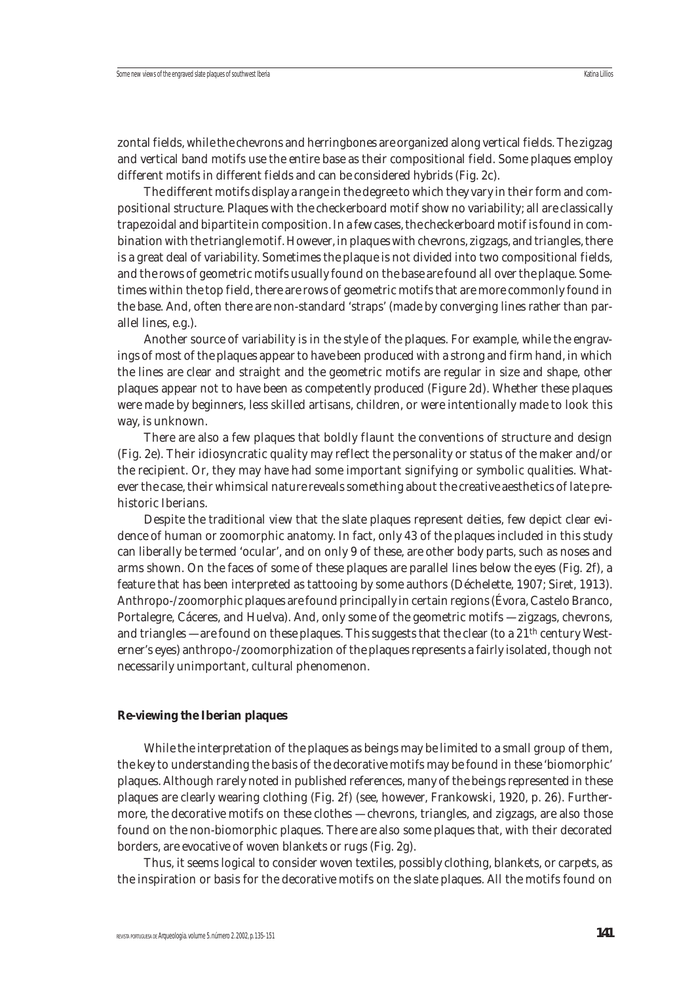zontal fields, while the chevrons and herringbones are organized along vertical fields. The zigzag and vertical band motifs use the entire base as their compositional field. Some plaques employ different motifs in different fields and can be considered hybrids (Fig. 2c).

The different motifs display a range in the degree to which they vary in their form and compositional structure. Plaques with the checkerboard motif show no variability; all are classically trapezoidal and bipartite in composition. In a few cases, the checkerboard motif is found in combination with the triangle motif. However, in plaques with chevrons, zigzags, and triangles, there is a great deal of variability. Sometimes the plaque is not divided into two compositional fields, and the rows of geometric motifs usually found on the base are found all over the plaque. Sometimes within the top field, there are rows of geometric motifs that are more commonly found in the base. And, often there are non-standard 'straps' (made by converging lines rather than parallel lines, e.g.).

Another source of variability is in the style of the plaques. For example, while the engravings of most of the plaques appear to have been produced with a strong and firm hand, in which the lines are clear and straight and the geometric motifs are regular in size and shape, other plaques appear not to have been as competently produced (Figure 2d). Whether these plaques were made by beginners, less skilled artisans, children, or were intentionally made to look this way, is unknown.

There are also a few plaques that boldly flaunt the conventions of structure and design (Fig. 2e). Their idiosyncratic quality may reflect the personality or status of the maker and/or the recipient. Or, they may have had some important signifying or symbolic qualities. Whatever the case, their whimsical nature reveals something about the creative aesthetics of late prehistoric Iberians.

Despite the traditional view that the slate plaques represent deities, few depict clear evidence of human or zoomorphic anatomy. In fact, only 43 of the plaques included in this study can liberally be termed 'ocular', and on only 9 of these, are other body parts, such as noses and arms shown. On the faces of some of these plaques are parallel lines below the eyes (Fig. 2f), a feature that has been interpreted as tattooing by some authors (Déchelette, 1907; Siret, 1913). Anthropo-/zoomorphic plaques are found principally in certain regions (Évora, Castelo Branco, Portalegre, Cáceres, and Huelva). And, only some of the geometric motifs — zigzags, chevrons, and triangles — are found on these plaques. This suggests that the clear (to a  $21<sup>th</sup>$  century Westerner's eyes) anthropo-/zoomorphization of the plaques represents a fairly isolated, though not necessarily unimportant, cultural phenomenon.

#### **Re-viewing the Iberian plaques**

While the interpretation of the plaques as beings may be limited to a small group of them, the key to understanding the basis of the decorative motifs may be found in these 'biomorphic' plaques. Although rarely noted in published references, many of the beings represented in these plaques are clearly wearing clothing (Fig. 2f) (see, however, Frankowski, 1920, p. 26). Furthermore, the decorative motifs on these clothes — chevrons, triangles, and zigzags, are also those found on the non-biomorphic plaques. There are also some plaques that, with their decorated borders, are evocative of woven blankets or rugs (Fig. 2g).

Thus, it seems logical to consider woven textiles, possibly clothing, blankets, or carpets, as the inspiration or basis for the decorative motifs on the slate plaques. All the motifs found on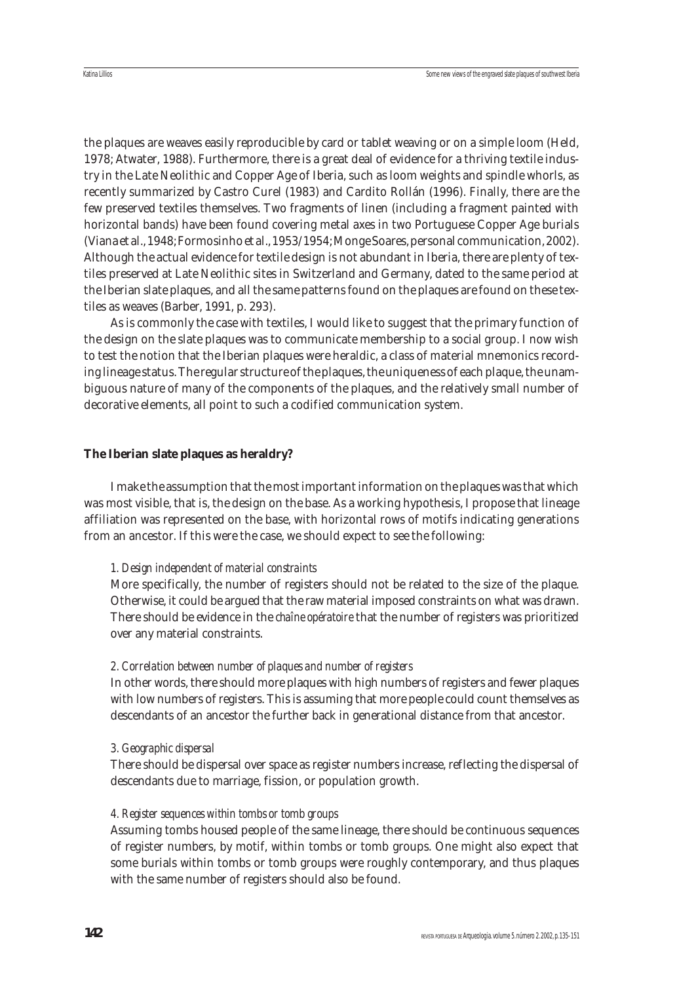Katina Lillios

the plaques are weaves easily reproducible by card or tablet weaving or on a simple loom (Held, 1978; Atwater, 1988). Furthermore, there is a great deal of evidence for a thriving textile industry in the Late Neolithic and Copper Age of Iberia, such as loom weights and spindle whorls, as recently summarized by Castro Curel (1983) and Cardito Rollán (1996). Finally, there are the few preserved textiles themselves. Two fragments of linen (including a fragment painted with horizontal bands) have been found covering metal axes in two Portuguese Copper Age burials (Viana et al., 1948; Formosinho et al., 1953/1954; Monge Soares, personal communication, 2002). Although the actual evidence for textile design is not abundant in Iberia, there are plenty of textiles preserved at Late Neolithic sites in Switzerland and Germany, dated to the same period at the Iberian slate plaques, and all the same patterns found on the plaques are found on these textiles as weaves (Barber, 1991, p. 293).

As is commonly the case with textiles, I would like to suggest that the primary function of the design on the slate plaques was to communicate membership to a social group. I now wish to test the notion that the Iberian plaques were heraldic, a class of material mnemonics recording lineage status. The regular structure of the plaques, the uniqueness of each plaque, the unambiguous nature of many of the components of the plaques, and the relatively small number of decorative elements, all point to such a codified communication system.

## **The Iberian slate plaques as heraldry?**

I make the assumption that the most important information on the plaques was that which was most visible, that is, the design on the base. As a working hypothesis, I propose that lineage affiliation was represented on the base, with horizontal rows of motifs indicating generations from an ancestor. If this were the case, we should expect to see the following:

## *1. Design independent of material constraints*

More specifically, the number of registers should not be related to the size of the plaque. Otherwise, it could be argued that the raw material imposed constraints on what was drawn. There should be evidence in the *chaîne opératoire* that the number of registers was prioritized over any material constraints.

## *2. Correlation between number of plaques and number of registers*

In other words, there should more plaques with high numbers of registers and fewer plaques with low numbers of registers. This is assuming that more people could count themselves as descendants of an ancestor the further back in generational distance from that ancestor.

## *3. Geographic dispersal*

There should be dispersal over space as register numbers increase, reflecting the dispersal of descendants due to marriage, fission, or population growth.

## *4. Register sequences within tombs or tomb groups*

Assuming tombs housed people of the same lineage, there should be continuous sequences of register numbers, by motif, within tombs or tomb groups. One might also expect that some burials within tombs or tomb groups were roughly contemporary, and thus plaques with the same number of registers should also be found.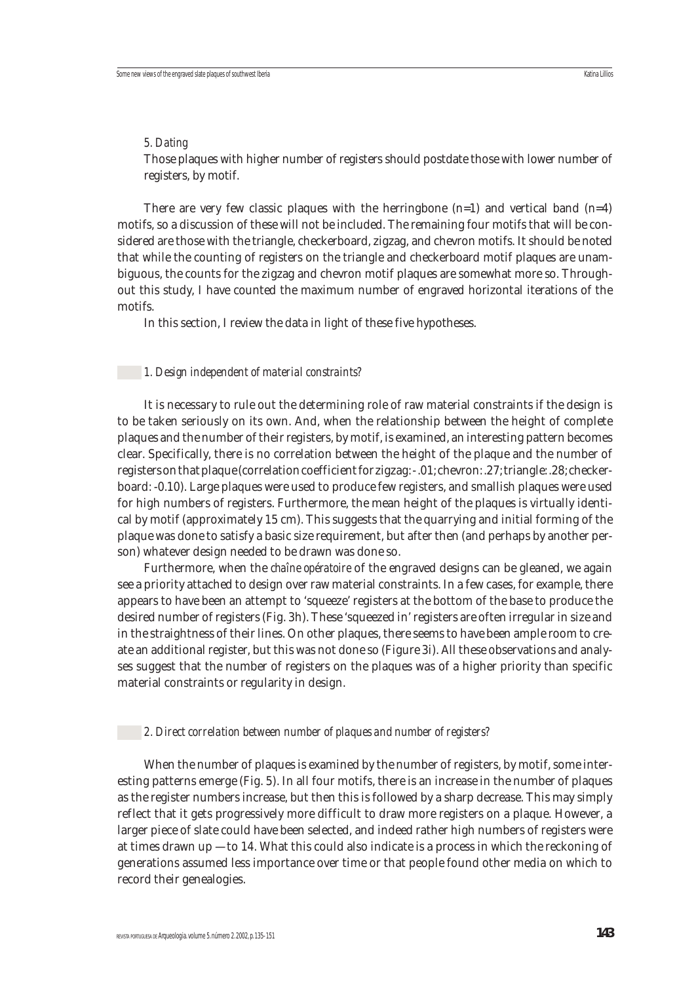#### *5. Dating*

Those plaques with higher number of registers should postdate those with lower number of registers, by motif.

There are very few classic plaques with the herringbone  $(n=1)$  and vertical band  $(n=4)$ motifs, so a discussion of these will not be included. The remaining four motifs that will be considered are those with the triangle, checkerboard, zigzag, and chevron motifs. It should be noted that while the counting of registers on the triangle and checkerboard motif plaques are unambiguous, the counts for the zigzag and chevron motif plaques are somewhat more so. Throughout this study, I have counted the maximum number of engraved horizontal iterations of the motifs.

In this section, I review the data in light of these five hypotheses.

#### *1. Design independent of material constraints?*

It is necessary to rule out the determining role of raw material constraints if the design is to be taken seriously on its own. And, when the relationship between the height of complete plaques and the number of their registers, by motif, is examined, an interesting pattern becomes clear. Specifically, there is no correlation between the height of the plaque and the number of registers on that plaque (correlation coefficient for zigzag: - .01; chevron: .27; triangle: .28; checkerboard: -0.10). Large plaques were used to produce few registers, and smallish plaques were used for high numbers of registers. Furthermore, the mean height of the plaques is virtually identical by motif (approximately 15 cm). This suggests that the quarrying and initial forming of the plaque was done to satisfy a basic size requirement, but after then (and perhaps by another person) whatever design needed to be drawn was done so.

Furthermore, when the *chaîne opératoire* of the engraved designs can be gleaned, we again see a priority attached to design over raw material constraints. In a few cases, for example, there appears to have been an attempt to 'squeeze' registers at the bottom of the base to produce the desired number of registers (Fig. 3h). These 'squeezed in' registers are often irregular in size and in the straightness of their lines. On other plaques, there seems to have been ample room to create an additional register, but this was not done so (Figure 3i). All these observations and analyses suggest that the number of registers on the plaques was of a higher priority than specific material constraints or regularity in design.

#### *2. Direct correlation between number of plaques and number of registers?*

When the number of plaques is examined by the number of registers, by motif, some interesting patterns emerge (Fig. 5). In all four motifs, there is an increase in the number of plaques as the register numbers increase, but then this is followed by a sharp decrease. This may simply reflect that it gets progressively more difficult to draw more registers on a plaque. However, a larger piece of slate could have been selected, and indeed rather high numbers of registers were at times drawn up  $-$  to 14. What this could also indicate is a process in which the reckoning of generations assumed less importance over time or that people found other media on which to record their genealogies.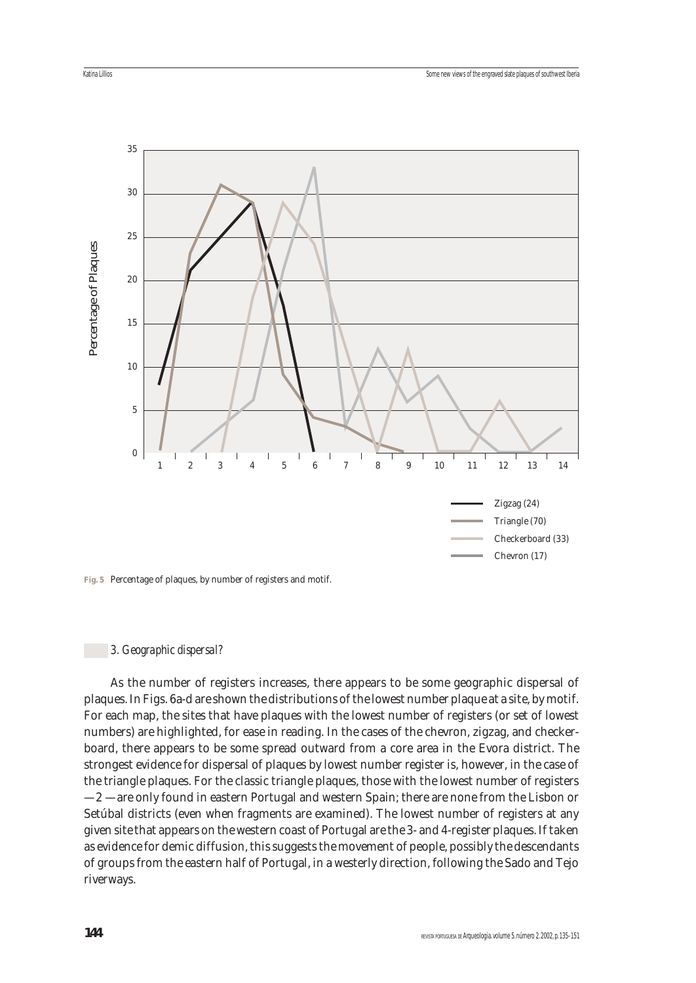

#### *3. Geographic dispersal?*

As the number of registers increases, there appears to be some geographic dispersal of plaques. In Figs. 6a-d are shown the distributions of the lowest number plaque at a site, by motif. For each map, the sites that have plaques with the lowest number of registers (or set of lowest numbers) are highlighted, for ease in reading. In the cases of the chevron, zigzag, and checkerboard, there appears to be some spread outward from a core area in the Evora district. The strongest evidence for dispersal of plaques by lowest number register is, however, in the case of the triangle plaques. For the classic triangle plaques, those with the lowest number of registers  $-2$  – are only found in eastern Portugal and western Spain; there are none from the Lisbon or Setúbal districts (even when fragments are examined). The lowest number of registers at any given site that appears on the western coast of Portugal are the 3- and 4-register plaques. If taken as evidence for demic diffusion, this suggests the movement of people, possibly the descendants of groups from the eastern half of Portugal, in a westerly direction, following the Sado and Tejo riverways.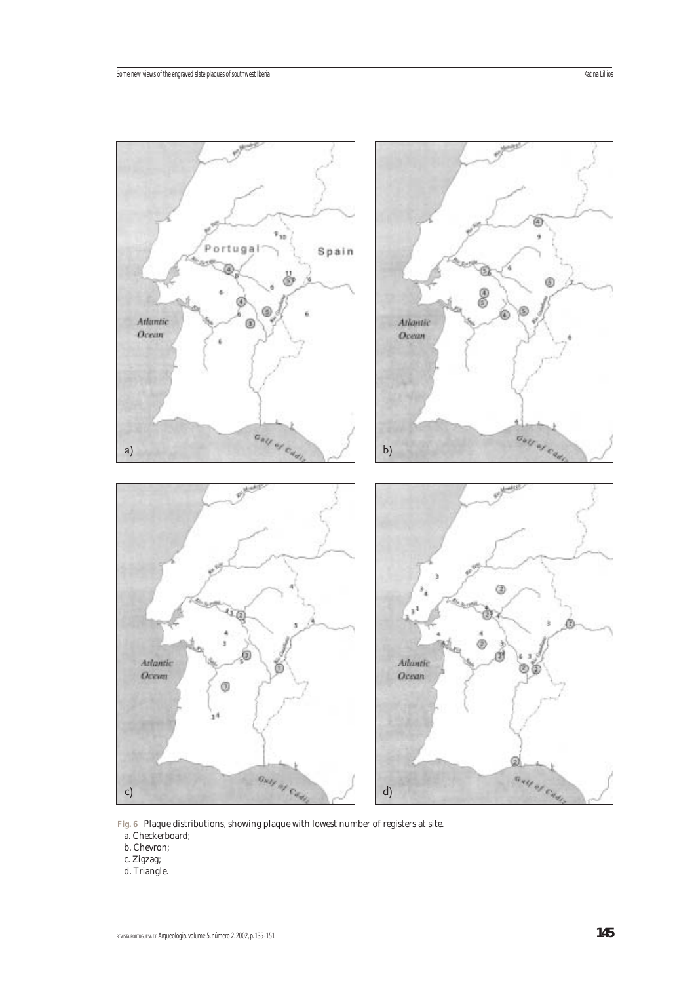

**Fig. 6** Plaque distributions, showing plaque with lowest number of registers at site.

- a. Checkerboard;
- b. Chevron;
- c. Zigzag;
- d. Triangle.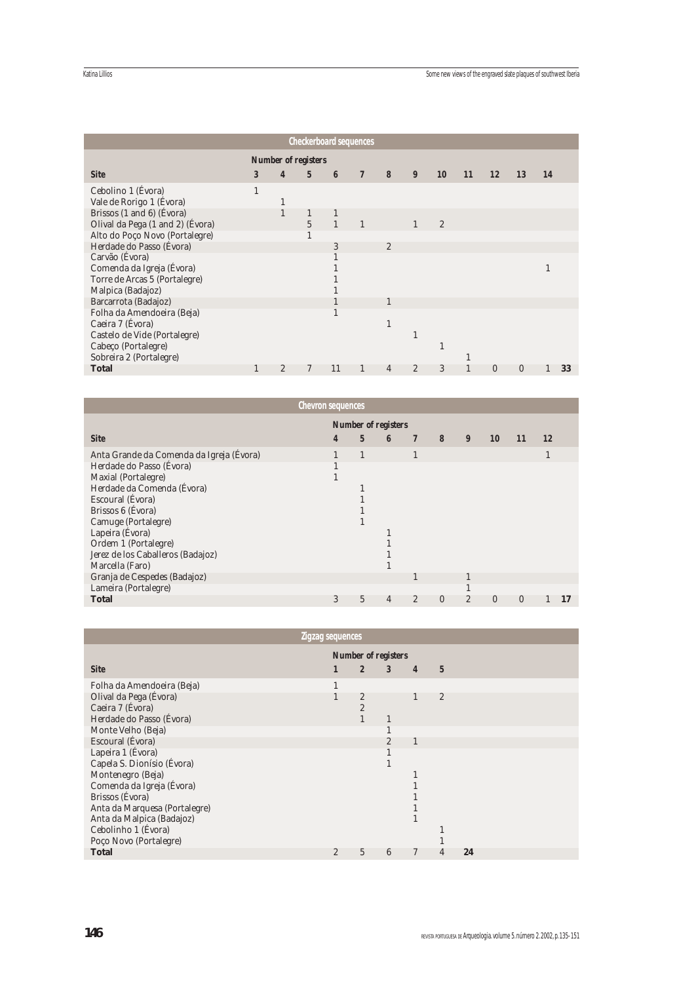| <b>Checkerboard sequences</b>    |   |   |              |              |                |                |                |                     |    |          |          |    |    |
|----------------------------------|---|---|--------------|--------------|----------------|----------------|----------------|---------------------|----|----------|----------|----|----|
| <b>Number of registers</b>       |   |   |              |              |                |                |                |                     |    |          |          |    |    |
| <b>Site</b>                      | 3 | 4 | $\mathbf{5}$ | 6            | $\overline{7}$ | 8              | 9              | 10                  | 11 | 12       | 13       | 14 |    |
| Cebolino 1 (Évora)               | 1 |   |              |              |                |                |                |                     |    |          |          |    |    |
| Vale de Rorigo 1 (Évora)         |   |   |              |              |                |                |                |                     |    |          |          |    |    |
| Brissos (1 and 6) (Évora)        |   |   |              |              |                |                |                |                     |    |          |          |    |    |
| Olival da Pega (1 and 2) (Évora) |   |   | 5            | $\mathbf{1}$ | $\mathbf{1}$   |                |                | $\overline{2}$      |    |          |          |    |    |
| Alto do Poço Novo (Portalegre)   |   |   |              |              |                |                |                |                     |    |          |          |    |    |
| Herdade do Passo (Evora)         |   |   |              | 3            |                | $\overline{2}$ |                |                     |    |          |          |    |    |
| Carvão (Évora)                   |   |   |              |              |                |                |                |                     |    |          |          |    |    |
| Comenda da Igreja (Évora)        |   |   |              |              |                |                |                |                     |    |          |          |    |    |
| Torre de Arcas 5 (Portalegre)    |   |   |              |              |                |                |                |                     |    |          |          |    |    |
| Malpica (Badajoz)                |   |   |              |              |                |                |                |                     |    |          |          |    |    |
| Barcarrota (Badajoz)             |   |   |              |              |                |                |                |                     |    |          |          |    |    |
| Folha da Amendoeira (Beja)       |   |   |              | 1            |                |                |                |                     |    |          |          |    |    |
| Caeira 7 (Évora)                 |   |   |              |              |                |                |                |                     |    |          |          |    |    |
| Castelo de Vide (Portalegre)     |   |   |              |              |                |                | $\mathbf{1}$   |                     |    |          |          |    |    |
| Cabeço (Portalegre)              |   |   |              |              |                |                |                | $\overline{1}$<br>ı |    |          |          |    |    |
| Sobreira 2 (Portalegre)          |   |   |              |              |                |                |                |                     |    |          |          |    |    |
| <b>Total</b>                     |   |   |              | 11           |                | 4              | $\overline{c}$ | 3                   |    | $\Omega$ | $\Omega$ |    | 33 |

|                                          | <b>Chevron sequences</b>   |   |   |                |                |                  |              |                |    |    |  |  |  |
|------------------------------------------|----------------------------|---|---|----------------|----------------|------------------|--------------|----------------|----|----|--|--|--|
|                                          | <b>Number of registers</b> |   |   |                |                |                  |              |                |    |    |  |  |  |
| <b>Site</b>                              | 4                          | 5 | 6 | $\overline{7}$ | 8              | $\boldsymbol{g}$ | 10           | 11             | 12 |    |  |  |  |
| Anta Grande da Comenda da Igreja (Evora) |                            | 1 |   | 1              |                |                  |              |                | -  |    |  |  |  |
| Herdade do Passo (Evora)                 |                            |   |   |                |                |                  |              |                |    |    |  |  |  |
| Maxial (Portalegre)                      |                            |   |   |                |                |                  |              |                |    |    |  |  |  |
| Herdade da Comenda (Évora)               |                            |   |   |                |                |                  |              |                |    |    |  |  |  |
| Escoural (Évora)                         |                            |   |   |                |                |                  |              |                |    |    |  |  |  |
| Brissos 6 (Évora)                        |                            |   |   |                |                |                  |              |                |    |    |  |  |  |
| Camuge (Portalegre)                      |                            |   |   |                |                |                  |              |                |    |    |  |  |  |
| Lapeira (Évora)                          |                            |   |   |                |                |                  |              |                |    |    |  |  |  |
| Ordem 1 (Portalegre)                     |                            |   |   |                |                |                  |              |                |    |    |  |  |  |
| Jerez de los Caballeros (Badajoz)        |                            |   |   |                |                |                  |              |                |    |    |  |  |  |
| Marcella (Faro)                          |                            |   |   |                |                |                  |              |                |    |    |  |  |  |
| Granja de Cespedes (Badajoz)             |                            |   |   |                |                | $\mathbf{I}$     |              |                |    |    |  |  |  |
| Lameira (Portalegre)                     |                            |   |   |                |                |                  |              |                |    |    |  |  |  |
| <b>Total</b>                             | 3                          | 5 | 4 | $\mathbf{2}$   | $\overline{0}$ | $\mathbf{2}$     | $\mathbf{0}$ | $\overline{0}$ |    | 17 |  |  |  |
|                                          |                            |   |   |                |                |                  |              |                |    |    |  |  |  |

| Zigzag sequences              |                            |                |                            |                |                         |    |  |  |  |  |  |  |
|-------------------------------|----------------------------|----------------|----------------------------|----------------|-------------------------|----|--|--|--|--|--|--|
|                               | <b>Number of registers</b> |                |                            |                |                         |    |  |  |  |  |  |  |
| <b>Site</b>                   |                            | 2              | $\boldsymbol{\mathcal{S}}$ | $\overline{4}$ | $\overline{\mathbf{5}}$ |    |  |  |  |  |  |  |
| Folha da Amendoeira (Beja)    |                            |                |                            |                |                         |    |  |  |  |  |  |  |
| Olival da Pega (Évora)        |                            | 2              |                            |                | $\overline{2}$          |    |  |  |  |  |  |  |
| Caeira 7 (Évora)              |                            | $\overline{c}$ |                            |                |                         |    |  |  |  |  |  |  |
| Herdade do Passo (Évora)      |                            | $\mathbf{1}$   |                            |                |                         |    |  |  |  |  |  |  |
| Monte Velho (Beja)            |                            |                |                            |                |                         |    |  |  |  |  |  |  |
| Escoural (Évora)              |                            |                | $\overline{2}$             | $\mathbf{1}$   |                         |    |  |  |  |  |  |  |
| Lapeira 1 (Évora)             |                            |                |                            |                |                         |    |  |  |  |  |  |  |
| Capela S. Dionísio (Évora)    |                            |                |                            |                |                         |    |  |  |  |  |  |  |
| Montenegro (Beja)             |                            |                |                            |                |                         |    |  |  |  |  |  |  |
| Comenda da Igreja (Évora)     |                            |                |                            |                |                         |    |  |  |  |  |  |  |
| Brissos (Évora)               |                            |                |                            |                |                         |    |  |  |  |  |  |  |
| Anta da Marquesa (Portalegre) |                            |                |                            |                |                         |    |  |  |  |  |  |  |
| Anta da Malpica (Badajoz)     |                            |                |                            |                |                         |    |  |  |  |  |  |  |
| Cebolinho 1 (Évora)           |                            |                |                            |                |                         |    |  |  |  |  |  |  |
| Poço Novo (Portalegre)        |                            |                |                            |                |                         |    |  |  |  |  |  |  |
| <b>Total</b>                  | $\overline{2}$             | 5              | 6                          | $\overline{7}$ | 4                       | 24 |  |  |  |  |  |  |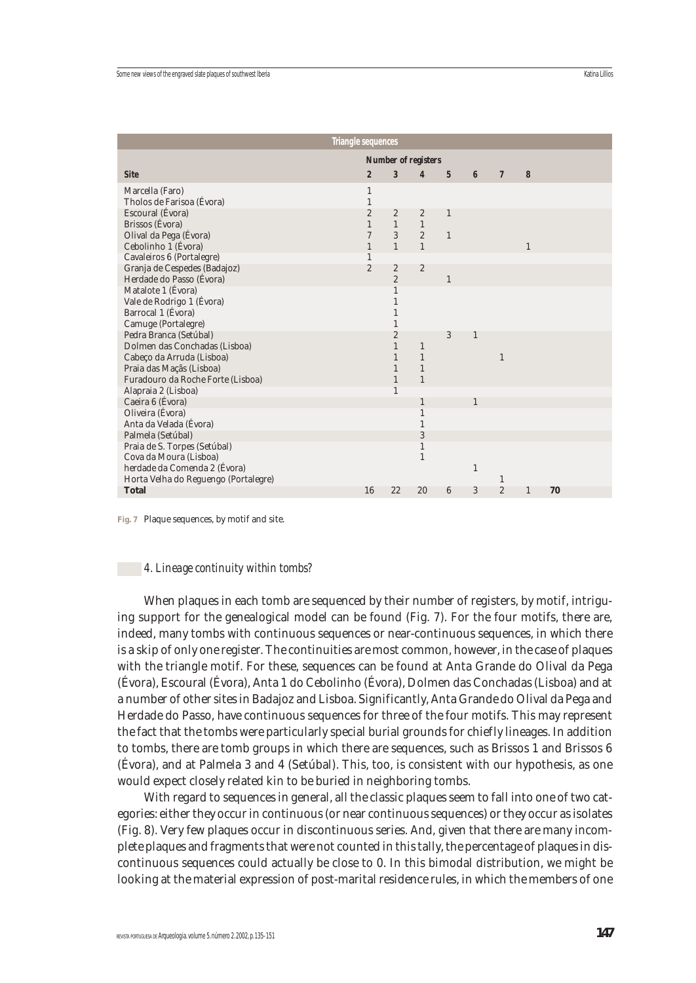| Triangle sequences                                   |                            |                  |                |              |              |                |   |    |  |  |
|------------------------------------------------------|----------------------------|------------------|----------------|--------------|--------------|----------------|---|----|--|--|
|                                                      | <b>Number of registers</b> |                  |                |              |              |                |   |    |  |  |
| <b>Site</b>                                          | $\boldsymbol{2}$           | 3                |                | $\mathbf{5}$ | 6            | $\mathcal I$   | 8 |    |  |  |
| Marcella (Faro)                                      | $\mathbf{1}$               |                  |                |              |              |                |   |    |  |  |
| Tholos de Farisoa (Évora)                            | $\mathbf{1}$               |                  |                |              |              |                |   |    |  |  |
| Escoural (Évora)                                     | $\boldsymbol{2}$           | $\boldsymbol{2}$ | 2              | $\mathbf{1}$ |              |                |   |    |  |  |
| Brissos (Évora)                                      | $\mathbf{1}$               | $\mathbf{1}$     | $\mathbf{1}$   |              |              |                |   |    |  |  |
| Olival da Pega (Évora)                               | $\overline{7}$             | 3                | $\overline{2}$ | $\mathbf{1}$ |              |                |   |    |  |  |
| Cebolinho 1 (Évora)                                  | $\mathbf{1}$               | $\mathbf{1}$     | $\mathbf{1}$   |              |              |                | 1 |    |  |  |
| Cavaleiros 6 (Portalegre)                            |                            |                  |                |              |              |                |   |    |  |  |
| Granja de Cespedes (Badajoz)                         | $\overline{2}$             | $\sqrt{2}$       | $\sqrt{2}$     |              |              |                |   |    |  |  |
| Herdade do Passo (Évora)                             |                            | $\sqrt{2}$       |                | $\mathbf{1}$ |              |                |   |    |  |  |
| Matalote 1 (Évora)                                   |                            | 1                |                |              |              |                |   |    |  |  |
| Vale de Rodrigo 1 (Évora)                            |                            |                  |                |              |              |                |   |    |  |  |
| Barrocal 1 (Évora)                                   |                            |                  |                |              |              |                |   |    |  |  |
| Camuge (Portalegre)                                  |                            |                  |                |              |              |                |   |    |  |  |
| Pedra Branca (Setúbal)                               |                            | $\overline{c}$   |                | 3            |              |                |   |    |  |  |
| Dolmen das Conchadas (Lisboa)                        |                            | $\mathbf{1}$     | $\mathbf{1}$   |              |              |                |   |    |  |  |
| Cabeço da Arruda (Lisboa)                            |                            | $\mathbf{1}$     | 1              |              |              | $\mathbf{1}$   |   |    |  |  |
| Praia das Maçãs (Lisboa)                             |                            | $\mathbf{1}$     | $\mathbf{1}$   |              |              |                |   |    |  |  |
| Furadouro da Roche Forte (Lisboa)                    |                            | $\mathbf{1}$     | $\mathbf{1}$   |              |              |                |   |    |  |  |
| Alapraia 2 (Lisboa)                                  |                            | $\mathbf{1}$     |                |              |              |                |   |    |  |  |
| Caeira 6 (Évora)                                     |                            |                  | 1              |              |              |                |   |    |  |  |
| Oliveira (Évora)                                     |                            |                  | 1              |              |              |                |   |    |  |  |
| Anta da Velada (Évora)                               |                            |                  | $\mathbf{1}$   |              |              |                |   |    |  |  |
| Palmela (Setúbal)                                    |                            |                  | 3              |              |              |                |   |    |  |  |
| Praia de S. Torpes (Setúbal)                         |                            |                  | $\mathbf{1}$   |              |              |                |   |    |  |  |
| Cova da Moura (Lisboa)                               |                            |                  | $\mathbf{1}$   |              |              |                |   |    |  |  |
| herdade da Comenda 2 (Évora)                         |                            |                  |                |              | $\mathbf{1}$ |                |   |    |  |  |
| Horta Velha do Reguengo (Portalegre)<br><b>Total</b> | 16                         | 22               | 20             | 6            | 3            | $\overline{2}$ | 1 | 70 |  |  |
|                                                      |                            |                  |                |              |              |                |   |    |  |  |

**Fig. 7** Plaque sequences, by motif and site.

#### *4. Lineage continuity within tombs?*

When plaques in each tomb are sequenced by their number of registers, by motif, intriguing support for the genealogical model can be found (Fig. 7). For the four motifs, there are, indeed, many tombs with continuous sequences or near-continuous sequences, in which there is a skip of only one register. The continuities are most common, however, in the case of plaques with the triangle motif. For these, sequences can be found at Anta Grande do Olival da Pega (Évora), Escoural (Évora), Anta 1 do Cebolinho (Évora), Dolmen das Conchadas (Lisboa) and at a number of other sites in Badajoz and Lisboa. Significantly, Anta Grande do Olival da Pega and Herdade do Passo, have continuous sequences for three of the four motifs. This may represent the fact that the tombs were particularly special burial grounds for chiefly lineages. In addition to tombs, there are tomb groups in which there are sequences, such as Brissos 1 and Brissos 6 (Évora), and at Palmela 3 and 4 (Setúbal). This, too, is consistent with our hypothesis, as one would expect closely related kin to be buried in neighboring tombs.

With regard to sequences in general, all the classic plaques seem to fall into one of two categories: either they occur in continuous (or near continuous sequences) or they occur as isolates (Fig. 8). Very few plaques occur in discontinuous series. And, given that there are many incomplete plaques and fragments that were not counted in this tally, the percentage of plaques in discontinuous sequences could actually be close to 0. In this bimodal distribution, we might be looking at the material expression of post-marital residence rules, in which the members of one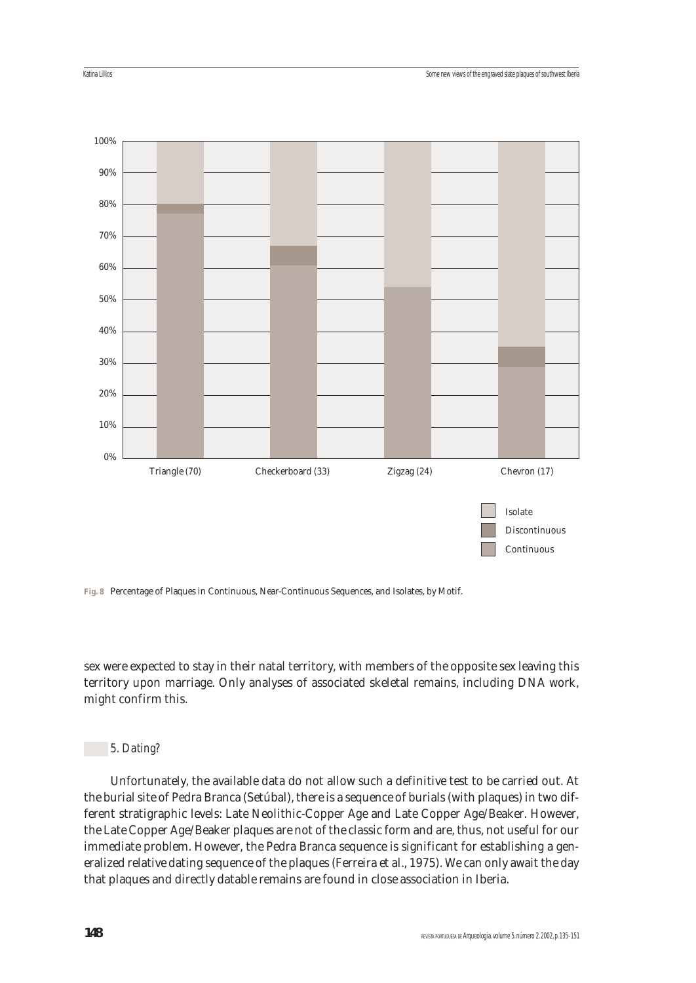



**Fig. 8** Percentage of Plaques in Continuous, Near-Continuous Sequences, and Isolates, by Motif.

sex were expected to stay in their natal territory, with members of the opposite sex leaving this territory upon marriage. Only analyses of associated skeletal remains, including DNA work, might confirm this.

#### *5. Dating?*

Unfortunately, the available data do not allow such a definitive test to be carried out. At the burial site of Pedra Branca (Setúbal), there is a sequence of burials (with plaques) in two different stratigraphic levels: Late Neolithic-Copper Age and Late Copper Age/Beaker. However, the Late Copper Age/Beaker plaques are not of the classic form and are, thus, not useful for our immediate problem. However, the Pedra Branca sequence is significant for establishing a generalized relative dating sequence of the plaques (Ferreira et al., 1975). We can only await the day that plaques and directly datable remains are found in close association in Iberia.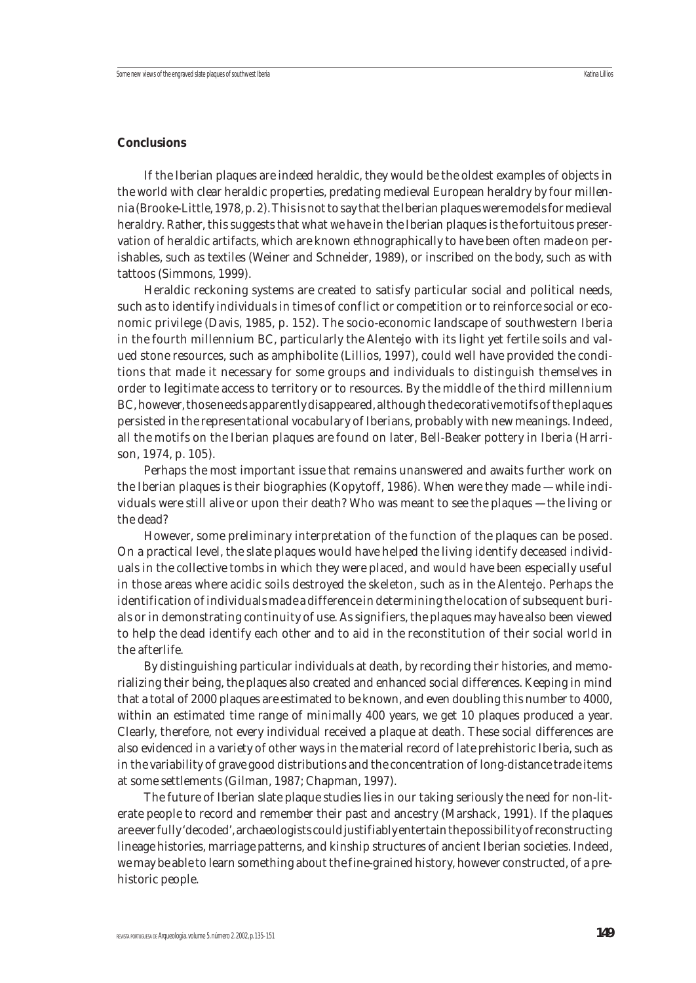#### **Conclusions**

If the Iberian plaques are indeed heraldic, they would be the oldest examples of objects in the world with clear heraldic properties, predating medieval European heraldry by four millennia (Brooke-Little, 1978, p. 2). This is not to say that the Iberian plaques were models for medieval heraldry. Rather, this suggests that what we have in the Iberian plaques is the fortuitous preservation of heraldic artifacts, which are known ethnographically to have been often made on perishables, such as textiles (Weiner and Schneider, 1989), or inscribed on the body, such as with tattoos (Simmons, 1999).

Heraldic reckoning systems are created to satisfy particular social and political needs, such as to identify individuals in times of conflict or competition or to reinforce social or economic privilege (Davis, 1985, p. 152). The socio-economic landscape of southwestern Iberia in the fourth millennium BC, particularly the Alentejo with its light yet fertile soils and valued stone resources, such as amphibolite (Lillios, 1997), could well have provided the conditions that made it necessary for some groups and individuals to distinguish themselves in order to legitimate access to territory or to resources. By the middle of the third millennium BC, however, those needs apparently disappeared, although the decorative motifs of the plaques persisted in the representational vocabulary of Iberians, probably with new meanings. Indeed, all the motifs on the Iberian plaques are found on later, Bell-Beaker pottery in Iberia (Harrison, 1974, p. 105).

Perhaps the most important issue that remains unanswered and awaits further work on the Iberian plaques is their biographies (Kopytoff, 1986). When were they made — while individuals were still alive or upon their death? Who was meant to see the plaques — the living or the dead?

However, some preliminary interpretation of the function of the plaques can be posed. On a practical level, the slate plaques would have helped the living identify deceased individuals in the collective tombs in which they were placed, and would have been especially useful in those areas where acidic soils destroyed the skeleton, such as in the Alentejo. Perhaps the identification of individuals made a difference in determining the location of subsequent burials or in demonstrating continuity of use. As signifiers, the plaques may have also been viewed to help the dead identify each other and to aid in the reconstitution of their social world in the afterlife.

By distinguishing particular individuals at death, by recording their histories, and memorializing their being, the plaques also created and enhanced social differences. Keeping in mind that a total of 2000 plaques are estimated to be known, and even doubling this number to 4000, within an estimated time range of minimally 400 years, we get 10 plaques produced a year. Clearly, therefore, not every individual received a plaque at death. These social differences are also evidenced in a variety of other ways in the material record of late prehistoric Iberia, such as in the variability of grave good distributions and the concentration of long-distance trade items at some settlements (Gilman, 1987; Chapman, 1997).

The future of Iberian slate plaque studies lies in our taking seriously the need for non-literate people to record and remember their past and ancestry (Marshack, 1991). If the plaques are ever fully 'decoded', archaeologists could justifiably entertain the possibility of reconstructing lineage histories, marriage patterns, and kinship structures of ancient Iberian societies. Indeed, we may be able to learn something about the fine-grained history, however constructed, of a prehistoric people.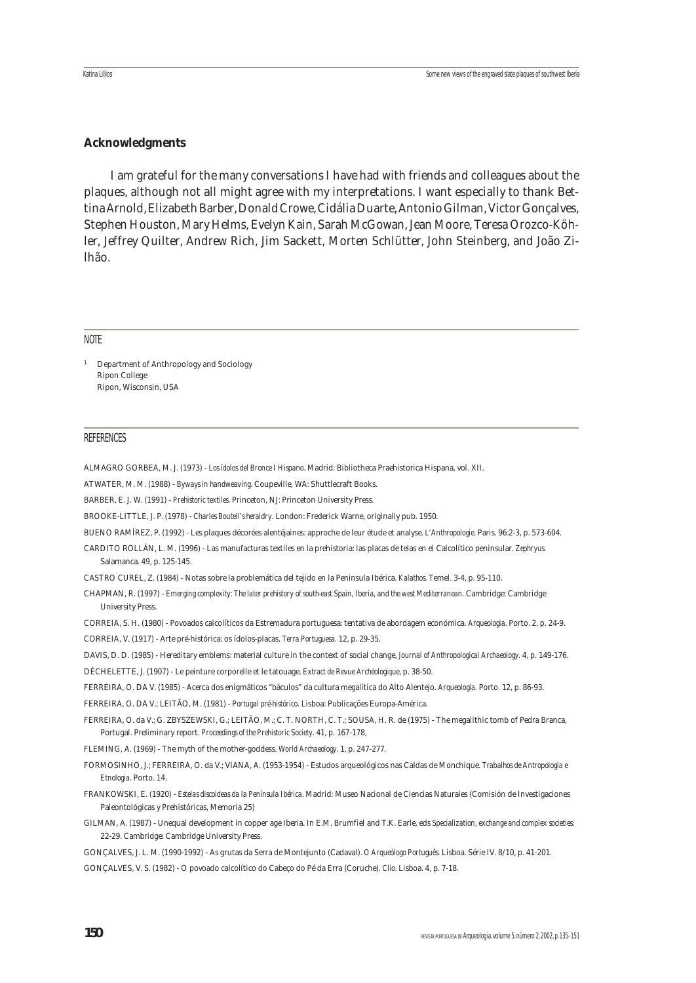#### **Acknowledgments**

I am grateful for the many conversations I have had with friends and colleagues about the plaques, although not all might agree with my interpretations. I want especially to thank Bettina Arnold, Elizabeth Barber, Donald Crowe, Cidália Duarte, Antonio Gilman, Victor Gonçalves, Stephen Houston, Mary Helms, Evelyn Kain, Sarah McGowan, Jean Moore, Teresa Orozco-Köhler, Jeffrey Quilter, Andrew Rich, Jim Sackett, Morten Schlütter, John Steinberg, and João Zilhão.

#### NOTE

<sup>1</sup> Department of Anthropology and Sociology Ripon College Ripon, Wisconsin, USA

#### REFERENCES

ALMAGRO GORBEA, M. J. (1973) - *Los ídolos del Bronce I Hispano*. Madrid: Bibliotheca Praehistorica Hispana, vol. XII.

ATWATER, M. M. (1988) - *Byways in handweaving*. Coupeville, WA: Shuttlecraft Books.

BARBER, E. J. W. (1991) - *Prehistoric textiles*. Princeton, NJ: Princeton University Press.

BROOKE-LITTLE, J. P. (1978) - *Charles Boutell's heraldry*. London: Frederick Warne, originally pub. 1950.

BUENO RAMÍREZ, P. (1992) - Les plaques décorées alentéjaines: approche de leur étude et analyse. *L'Anthropologie*. Paris. 96:2-3, p. 573-604.

CARDITO ROLLÁN, L. M. (1996) - Las manufacturas textiles en la prehistoria: las placas de telas en el Calcolítico peninsular. *Zephryus*. Salamanca. 49, p. 125-145.

CASTRO CUREL, Z. (1984) - Notas sobre la problemática del tejido en la Peninsula Ibérica. *Kalathos.* Temel*.* 3-4, p. 95-110.

CHAPMAN, R. (1997) - *Emerging complexity: The later prehistory of south-east Spain, Iberia, and the west Mediterranean*. Cambridge: Cambridge University Press.

CORREIA, S. H. (1980) - Povoados calcolíticos da Estremadura portuguesa: tentativa de abordagem económica. *Arqueologia*. Porto. 2, p. 24-9.

CORREIA, V. (1917) - Arte pré-histórica: os ídolos-placas. *Terra Portuguesa.* 12, p. 29-35.

DAVIS, D. D. (1985) - Hereditary emblems: material culture in the context of social change, *Journal of Anthropological Archaeology.* 4, p. 149-176. DÉCHELETTE, J. (1907) - Le peinture corporelle et le tatouage. *Extract de Revue Archéologique*, p. 38-50.

FERREIRA, O. DA V. (1985) - Acerca dos enigmáticos "báculos" da cultura megalítica do Alto Alentejo. *Arqueologia*. Porto. 12, p. 86-93.

FERREIRA, O. DA V.; LEITÃO, M. (1981) - *Portugal pré-histórico*. Lisboa: Publicações Europa-América.

FERREIRA, O. da V.; G. ZBYSZEWSKI, G.; LEITÃO, M.; C. T. NORTH, C. T.; SOUSA, H. R. de (1975) - The megalithic tomb of Pedra Branca, Portugal. Preliminary report. *Proceedings of the Prehistoric Society*. 41, p. 167-178,

FLEMING, A. (1969) - The myth of the mother-goddess. *World Archaeology.* 1, p. 247-277.

- FORMOSINHO, J.; FERREIRA, O. da V.; VIANA, A. (1953-1954) Estudos arqueológicos nas Caldas de Monchique. *Trabalhos de Antropologia e Etnologia*. Porto. 14.
- FRANKOWSKI, E. (1920) *Estelas discoideas da la Península Ibérica*. Madrid: Museo Nacional de Ciencias Naturales (Comisión de Investigaciones Paleontológicas y Prehistóricas, Memoria 25)
- GILMAN, A. (1987) Unequal development in copper age Iberia. In E.M. Brumfiel and T.K. Earle, eds *Specialization, exchange and complex societies*: 22-29. Cambridge: Cambridge University Press.

GONÇALVES, J. L. M. (1990-1992) - As grutas da Serra de Montejunto (Cadaval). *O Arqueólogo Português*. Lisboa. Série IV. 8/10, p. 41-201.

GONÇALVES, V. S. (1982) - O povoado calcolítico do Cabeço do Pé da Erra (Coruche). *Clio*. Lisboa. 4, p. 7-18.